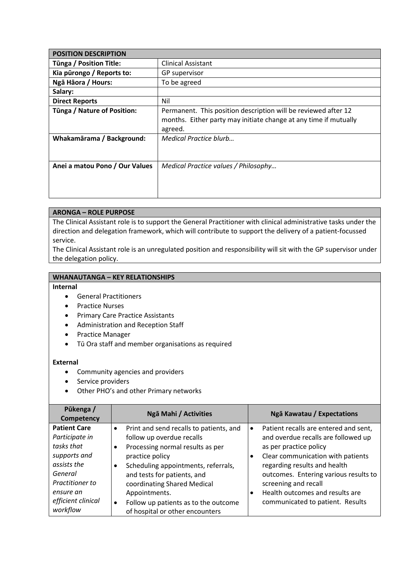| <b>POSITION DESCRIPTION</b>    |                                                                                                                                               |  |
|--------------------------------|-----------------------------------------------------------------------------------------------------------------------------------------------|--|
| <b>Tünga / Position Title:</b> | <b>Clinical Assistant</b>                                                                                                                     |  |
| Kia pūrongo / Reports to:      | GP supervisor                                                                                                                                 |  |
| Ngā Hāora / Hours:             | To be agreed                                                                                                                                  |  |
| Salary:                        |                                                                                                                                               |  |
| <b>Direct Reports</b>          | Nil                                                                                                                                           |  |
| Tūnga / Nature of Position:    | Permanent. This position description will be reviewed after 12<br>months. Either party may initiate change at any time if mutually<br>agreed. |  |
| Whakamārama / Background:      | Medical Practice blurb                                                                                                                        |  |
| Anei a matou Pono / Our Values | Medical Practice values / Philosophy                                                                                                          |  |

## **ARONGA – ROLE PURPOSE**

The Clinical Assistant role is to support the General Practitioner with clinical administrative tasks under the direction and delegation framework, which will contribute to support the delivery of a patient-focussed service.

The Clinical Assistant role is an unregulated position and responsibility will sit with the GP supervisor under the delegation policy.

## **WHANAUTANGA – KEY RELATIONSHIPS**

## **Internal**

- General Practitioners
- Practice Nurses
- Primary Care Practice Assistants
- Administration and Reception Staff
- Practice Manager
- Tū Ora staff and member organisations as required

## **External**

- Community agencies and providers
- Service providers
- Other PHO's and other Primary networks

| Pūkenga /<br>Competency | Ngā Mahi / Activities                   | Ngā Kawatau / Expectations                         |
|-------------------------|-----------------------------------------|----------------------------------------------------|
| <b>Patient Care</b>     | Print and send recalls to patients, and | Patient recalls are entered and sent,<br>$\bullet$ |
| Participate in          | follow up overdue recalls               | and overdue recalls are followed up                |
| tasks that              | Processing normal results as per        | as per practice policy                             |
| supports and            | practice policy                         | Clear communication with patients<br>$\bullet$     |
| assists the             | Scheduling appointments, referrals,     | regarding results and health                       |
| General                 | and tests for patients, and             | outcomes. Entering various results to              |
| Practitioner to         | coordinating Shared Medical             | screening and recall                               |
| ensure an               | Appointments.                           | Health outcomes and results are                    |
| efficient clinical      | Follow up patients as to the outcome    | communicated to patient. Results                   |
| workflow                | of hospital or other encounters         |                                                    |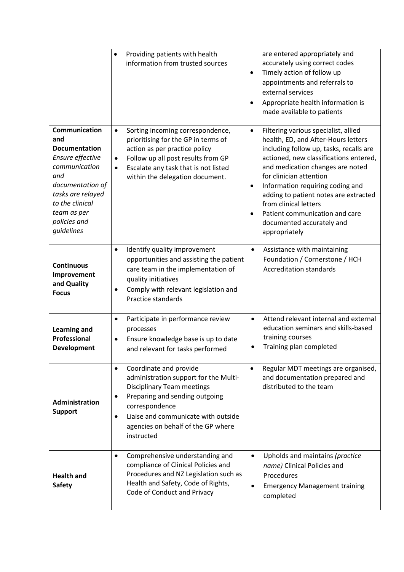|                                                                                                                                                                                                   | Providing patients with health<br>$\bullet$<br>information from trusted sources                                                                                                                                                                                                    | are entered appropriately and<br>accurately using correct codes<br>Timely action of follow up<br>٠<br>appointments and referrals to<br>external services<br>Appropriate health information is<br>$\bullet$<br>made available to patients                                                                                                                                                                                                     |
|---------------------------------------------------------------------------------------------------------------------------------------------------------------------------------------------------|------------------------------------------------------------------------------------------------------------------------------------------------------------------------------------------------------------------------------------------------------------------------------------|----------------------------------------------------------------------------------------------------------------------------------------------------------------------------------------------------------------------------------------------------------------------------------------------------------------------------------------------------------------------------------------------------------------------------------------------|
| Communication<br>and<br><b>Documentation</b><br>Ensure effective<br>communication<br>and<br>documentation of<br>tasks are relayed<br>to the clinical<br>team as per<br>policies and<br>guidelines | Sorting incoming correspondence,<br>$\bullet$<br>prioritising for the GP in terms of<br>action as per practice policy<br>Follow up all post results from GP<br>$\bullet$<br>Escalate any task that is not listed<br>$\bullet$<br>within the delegation document.                   | Filtering various specialist, allied<br>٠<br>health, ED, and After-Hours letters<br>including follow up, tasks, recalls are<br>actioned, new classifications entered,<br>and medication changes are noted<br>for clinician attention<br>Information requiring coding and<br>٠<br>adding to patient notes are extracted<br>from clinical letters<br>Patient communication and care<br>$\bullet$<br>documented accurately and<br>appropriately |
| <b>Continuous</b><br>Improvement<br>and Quality<br><b>Focus</b>                                                                                                                                   | Identify quality improvement<br>$\bullet$<br>opportunities and assisting the patient<br>care team in the implementation of<br>quality initiatives<br>Comply with relevant legislation and<br>Practice standards                                                                    | Assistance with maintaining<br>$\bullet$<br>Foundation / Cornerstone / HCH<br><b>Accreditation standards</b>                                                                                                                                                                                                                                                                                                                                 |
| <b>Learning and</b><br><b>Professional</b><br><b>Development</b>                                                                                                                                  | Participate in performance review<br>$\bullet$<br>processes<br>Ensure knowledge base is up to date<br>٠<br>and relevant for tasks performed                                                                                                                                        | Attend relevant internal and external<br>$\bullet$<br>education seminars and skills-based<br>training courses<br>Training plan completed<br>٠                                                                                                                                                                                                                                                                                                |
| <b>Administration</b><br><b>Support</b>                                                                                                                                                           | Coordinate and provide<br>$\bullet$<br>administration support for the Multi-<br><b>Disciplinary Team meetings</b><br>Preparing and sending outgoing<br>٠<br>correspondence<br>Liaise and communicate with outside<br>$\bullet$<br>agencies on behalf of the GP where<br>instructed | Regular MDT meetings are organised,<br>$\bullet$<br>and documentation prepared and<br>distributed to the team                                                                                                                                                                                                                                                                                                                                |
| <b>Health and</b><br><b>Safety</b>                                                                                                                                                                | Comprehensive understanding and<br>$\bullet$<br>compliance of Clinical Policies and<br>Procedures and NZ Legislation such as<br>Health and Safety, Code of Rights,<br>Code of Conduct and Privacy                                                                                  | Upholds and maintains (practice<br>$\bullet$<br>name) Clinical Policies and<br>Procedures<br><b>Emergency Management training</b><br>completed                                                                                                                                                                                                                                                                                               |